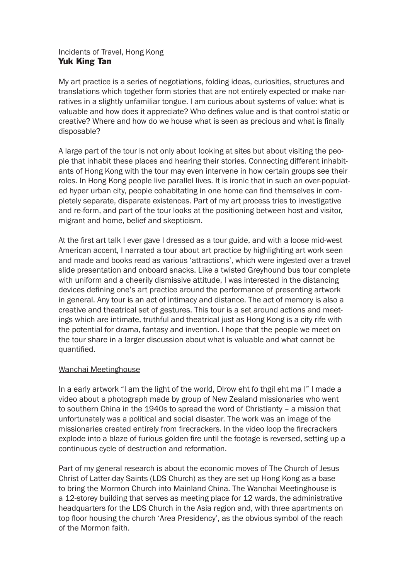# Incidents of Travel, Hong Kong Yuk King Tan

My art practice is a series of negotiations, folding ideas, curiosities, structures and translations which together form stories that are not entirely expected or make narratives in a slightly unfamiliar tongue. I am curious about systems of value: what is valuable and how does it appreciate? Who defines value and is that control static or creative? Where and how do we house what is seen as precious and what is finally disposable?

A large part of the tour is not only about looking at sites but about visiting the people that inhabit these places and hearing their stories. Connecting different inhabitants of Hong Kong with the tour may even intervene in how certain groups see their roles. In Hong Kong people live parallel lives. It is ironic that in such an over-populated hyper urban city, people cohabitating in one home can find themselves in completely separate, disparate existences. Part of my art process tries to investigative and re-form, and part of the tour looks at the positioning between host and visitor, migrant and home, belief and skepticism.

At the first art talk I ever gave I dressed as a tour guide, and with a loose mid-west American accent, I narrated a tour about art practice by highlighting art work seen and made and books read as various 'attractions', which were ingested over a travel slide presentation and onboard snacks. Like a twisted Greyhound bus tour complete with uniform and a cheerily dismissive attitude, I was interested in the distancing devices defining one's art practice around the performance of presenting artwork in general. Any tour is an act of intimacy and distance. The act of memory is also a creative and theatrical set of gestures. This tour is a set around actions and meetings which are intimate, truthful and theatrical just as Hong Kong is a city rife with the potential for drama, fantasy and invention. I hope that the people we meet on the tour share in a larger discussion about what is valuable and what cannot be quantified.

# Wanchai Meetinghouse

In a early artwork "I am the light of the world, Dlrow eht fo thgil eht ma I" I made a video about a photograph made by group of New Zealand missionaries who went to southern China in the 1940s to spread the word of Christianty – a mission that unfortunately was a political and social disaster. The work was an image of the missionaries created entirely from firecrackers. In the video loop the firecrackers explode into a blaze of furious golden fire until the footage is reversed, setting up a continuous cycle of destruction and reformation.

Part of my general research is about the economic moves of The Church of Jesus Christ of Latter-day Saints (LDS Church) as they are set up Hong Kong as a base to bring the Mormon Church into Mainland China. The Wanchai Meetinghouse is a 12-storey building that serves as meeting place for 12 wards, the administrative headquarters for the LDS Church in the Asia region and, with three apartments on top floor housing the church 'Area Presidency', as the obvious symbol of the reach of the Mormon faith.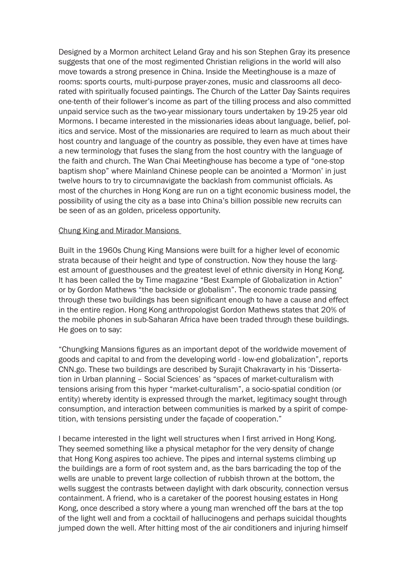Designed by a Mormon architect Leland Gray and his son Stephen Gray its presence suggests that one of the most regimented Christian religions in the world will also move towards a strong presence in China. Inside the Meetinghouse is a maze of rooms: sports courts, multi-purpose prayer-zones, music and classrooms all decorated with spiritually focused paintings. The Church of the Latter Day Saints requires one-tenth of their follower's income as part of the tilling process and also committed unpaid service such as the two-year missionary tours undertaken by 19-25 year old Mormons. I became interested in the missionaries ideas about language, belief, politics and service. Most of the missionaries are required to learn as much about their host country and language of the country as possible, they even have at times have a new terminology that fuses the slang from the host country with the language of the faith and church. The Wan Chai Meetinghouse has become a type of "one-stop baptism shop" where Mainland Chinese people can be anointed a 'Mormon' in just twelve hours to try to circumnavigate the backlash from communist officials. As most of the churches in Hong Kong are run on a tight economic business model, the possibility of using the city as a base into China's billion possible new recruits can be seen of as an golden, priceless opportunity.

## Chung King and Mirador Mansions

Built in the 1960s Chung King Mansions were built for a higher level of economic strata because of their height and type of construction. Now they house the largest amount of guesthouses and the greatest level of ethnic diversity in Hong Kong. It has been called the by Time magazine "Best Example of Globalization in Action" or by Gordon Mathews "the backside or globalism". The economic trade passing through these two buildings has been significant enough to have a cause and effect in the entire region. Hong Kong anthropologist Gordon Mathews states that 20% of the mobile phones in sub-Saharan Africa have been traded through these buildings. He goes on to say:

"Chungking Mansions figures as an important depot of the worldwide movement of goods and capital to and from the developing world - low-end globalization", reports CNN.go. These two buildings are described by Surajit Chakravarty in his 'Dissertation in Urban planning – Social Sciences' as "spaces of market-culturalism with tensions arising from this hyper "market-culturalism", a socio-spatial condition (or entity) whereby identity is expressed through the market, legitimacy sought through consumption, and interaction between communities is marked by a spirit of competition, with tensions persisting under the façade of cooperation."

I became interested in the light well structures when I first arrived in Hong Kong. They seemed something like a physical metaphor for the very density of change that Hong Kong aspires too achieve. The pipes and internal systems climbing up the buildings are a form of root system and, as the bars barricading the top of the wells are unable to prevent large collection of rubbish thrown at the bottom, the wells suggest the contrasts between daylight with dark obscurity, connection versus containment. A friend, who is a caretaker of the poorest housing estates in Hong Kong, once described a story where a young man wrenched off the bars at the top of the light well and from a cocktail of hallucinogens and perhaps suicidal thoughts jumped down the well. After hitting most of the air conditioners and injuring himself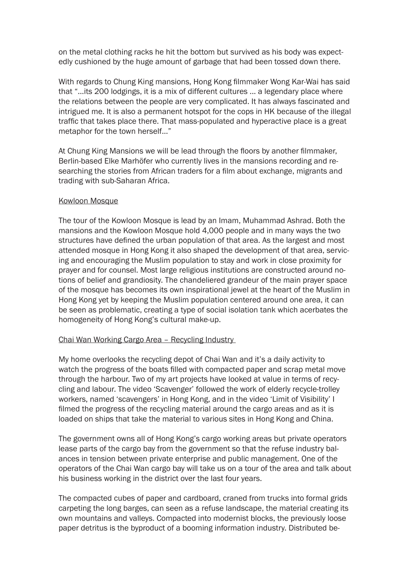on the metal clothing racks he hit the bottom but survived as his body was expectedly cushioned by the huge amount of garbage that had been tossed down there.

With regards to Chung King mansions, Hong Kong filmmaker Wong Kar-Wai has said that "…its 200 lodgings, it is a mix of different cultures ... a legendary place where the relations between the people are very complicated. It has always fascinated and intrigued me. It is also a permanent hotspot for the cops in HK because of the illegal traffic that takes place there. That mass-populated and hyperactive place is a great metaphor for the town herself…"

At Chung King Mansions we will be lead through the floors by another filmmaker, Berlin-based Elke Marhöfer who currently lives in the mansions recording and researching the stories from African traders for a film about exchange, migrants and trading with sub-Saharan Africa.

## Kowloon Mosque

The tour of the Kowloon Mosque is lead by an Imam, Muhammad Ashrad. Both the mansions and the Kowloon Mosque hold 4,000 people and in many ways the two structures have defined the urban population of that area. As the largest and most attended mosque in Hong Kong it also shaped the development of that area, servicing and encouraging the Muslim population to stay and work in close proximity for prayer and for counsel. Most large religious institutions are constructed around notions of belief and grandiosity. The chandeliered grandeur of the main prayer space of the mosque has becomes its own inspirational jewel at the heart of the Muslim in Hong Kong yet by keeping the Muslim population centered around one area, it can be seen as problematic, creating a type of social isolation tank which acerbates the homogeneity of Hong Kong's cultural make-up.

## Chai Wan Working Cargo Area – Recycling Industry

My home overlooks the recycling depot of Chai Wan and it's a daily activity to watch the progress of the boats filled with compacted paper and scrap metal move through the harbour. Two of my art projects have looked at value in terms of recycling and labour. The video 'Scavenger' followed the work of elderly recycle-trolley workers, named 'scavengers' in Hong Kong, and in the video 'Limit of Visibility' I filmed the progress of the recycling material around the cargo areas and as it is loaded on ships that take the material to various sites in Hong Kong and China.

The government owns all of Hong Kong's cargo working areas but private operators lease parts of the cargo bay from the government so that the refuse industry balances in tension between private enterprise and public management. One of the operators of the Chai Wan cargo bay will take us on a tour of the area and talk about his business working in the district over the last four years.

The compacted cubes of paper and cardboard, craned from trucks into formal grids carpeting the long barges, can seen as a refuse landscape, the material creating its own mountains and valleys. Compacted into modernist blocks, the previously loose paper detritus is the byproduct of a booming information industry. Distributed be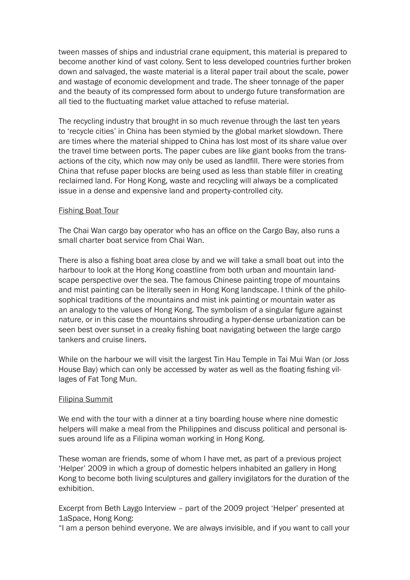tween masses of ships and industrial crane equipment, this material is prepared to become another kind of vast colony. Sent to less developed countries further broken down and salvaged, the waste material is a literal paper trail about the scale, power and wastage of economic development and trade. The sheer tonnage of the paper and the beauty of its compressed form about to undergo future transformation are all tied to the fluctuating market value attached to refuse material.

The recycling industry that brought in so much revenue through the last ten years to 'recycle cities' in China has been stymied by the global market slowdown. There are times where the material shipped to China has lost most of its share value over the travel time between ports. The paper cubes are like giant books from the transactions of the city, which now may only be used as landfill. There were stories from China that refuse paper blocks are being used as less than stable filler in creating reclaimed land. For Hong Kong, waste and recycling will always be a complicated issue in a dense and expensive land and property-controlled city.

## Fishing Boat Tour

The Chai Wan cargo bay operator who has an office on the Cargo Bay, also runs a small charter boat service from Chai Wan.

There is also a fishing boat area close by and we will take a small boat out into the harbour to look at the Hong Kong coastline from both urban and mountain landscape perspective over the sea. The famous Chinese painting trope of mountains and mist painting can be literally seen in Hong Kong landscape. I think of the philosophical traditions of the mountains and mist ink painting or mountain water as an analogy to the values of Hong Kong. The symbolism of a singular figure against nature, or in this case the mountains shrouding a hyper-dense urbanization can be seen best over sunset in a creaky fishing boat navigating between the large cargo tankers and cruise liners.

While on the harbour we will visit the largest Tin Hau Temple in Tai Mui Wan (or Joss House Bay) which can only be accessed by water as well as the floating fishing villages of Fat Tong Mun.

#### Filipina Summit

We end with the tour with a dinner at a tiny boarding house where nine domestic helpers will make a meal from the Philippines and discuss political and personal issues around life as a Filipina woman working in Hong Kong.

These woman are friends, some of whom I have met, as part of a previous project 'Helper' 2009 in which a group of domestic helpers inhabited an gallery in Hong Kong to become both living sculptures and gallery invigilators for the duration of the exhibition.

Excerpt from Beth Laygo Interview – part of the 2009 project 'Helper' presented at 1aSpace, Hong Kong:

"I am a person behind everyone. We are always invisible, and if you want to call your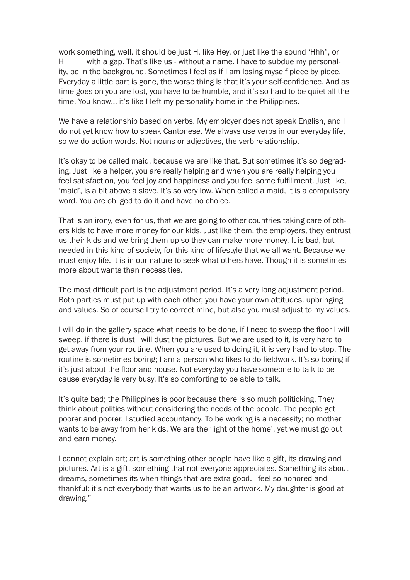work something, well, it should be just H, like Hey, or just like the sound 'Hhh", or H\_\_\_\_ with a gap. That's like us - without a name. I have to subdue my personality, be in the background. Sometimes I feel as if I am losing myself piece by piece. Everyday a little part is gone, the worse thing is that it's your self-confidence. And as time goes on you are lost, you have to be humble, and it's so hard to be quiet all the time. You know… it's like I left my personality home in the Philippines.

We have a relationship based on verbs. My employer does not speak English, and I do not yet know how to speak Cantonese. We always use verbs in our everyday life, so we do action words. Not nouns or adjectives, the verb relationship.

It's okay to be called maid, because we are like that. But sometimes it's so degrading. Just like a helper, you are really helping and when you are really helping you feel satisfaction, you feel joy and happiness and you feel some fulfillment. Just like, 'maid', is a bit above a slave. It's so very low. When called a maid, it is a compulsory word. You are obliged to do it and have no choice.

That is an irony, even for us, that we are going to other countries taking care of others kids to have more money for our kids. Just like them, the employers, they entrust us their kids and we bring them up so they can make more money. It is bad, but needed in this kind of society, for this kind of lifestyle that we all want. Because we must enjoy life. It is in our nature to seek what others have. Though it is sometimes more about wants than necessities.

The most difficult part is the adjustment period. It's a very long adjustment period. Both parties must put up with each other; you have your own attitudes, upbringing and values. So of course I try to correct mine, but also you must adjust to my values.

I will do in the gallery space what needs to be done, if I need to sweep the floor I will sweep, if there is dust I will dust the pictures. But we are used to it, is very hard to get away from your routine. When you are used to doing it, it is very hard to stop. The routine is sometimes boring; I am a person who likes to do fieldwork. It's so boring if it's just about the floor and house. Not everyday you have someone to talk to because everyday is very busy. It's so comforting to be able to talk.

It's quite bad; the Philippines is poor because there is so much politicking. They think about politics without considering the needs of the people. The people get poorer and poorer. I studied accountancy. To be working is a necessity; no mother wants to be away from her kids. We are the 'light of the home', yet we must go out and earn money.

I cannot explain art; art is something other people have like a gift, its drawing and pictures. Art is a gift, something that not everyone appreciates. Something its about dreams, sometimes its when things that are extra good. I feel so honored and thankful; it's not everybody that wants us to be an artwork. My daughter is good at drawing."